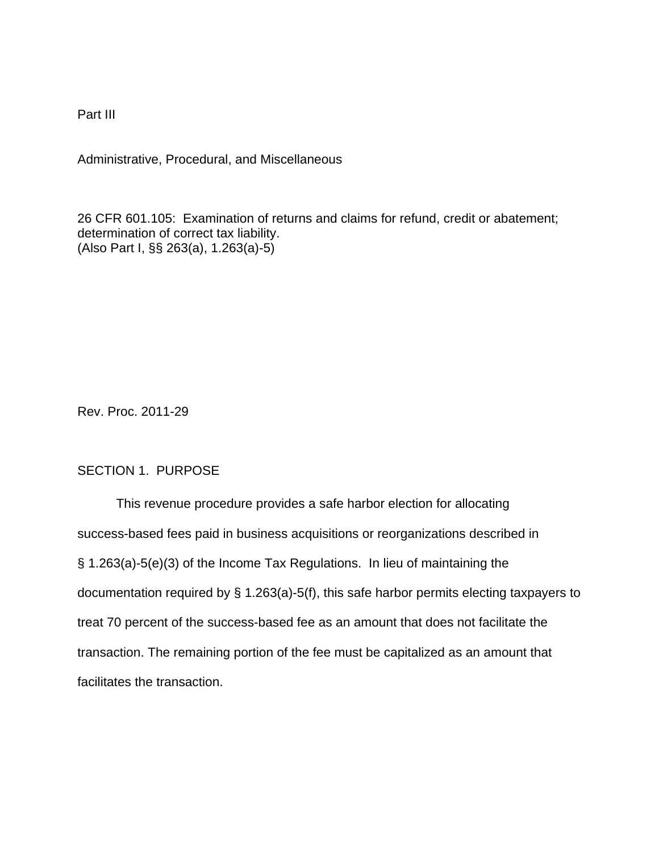Part III

Administrative, Procedural, and Miscellaneous

26 CFR 601.105: Examination of returns and claims for refund, credit or abatement; determination of correct tax liability. (Also Part I, §§ 263(a), 1.263(a)-5)

Rev. Proc. 2011-29

# SECTION 1. PURPOSE

This revenue procedure provides a safe harbor election for allocating success-based fees paid in business acquisitions or reorganizations described in § 1.263(a)-5(e)(3) of the Income Tax Regulations. In lieu of maintaining the documentation required by § 1.263(a)-5(f), this safe harbor permits electing taxpayers to treat 70 percent of the success-based fee as an amount that does not facilitate the transaction. The remaining portion of the fee must be capitalized as an amount that facilitates the transaction.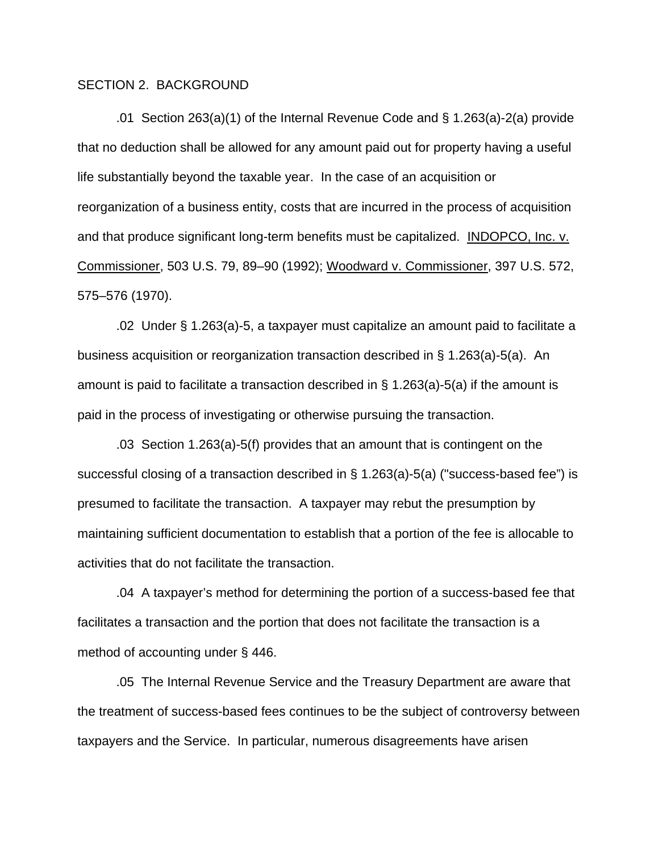## SECTION 2. BACKGROUND

.01 Section 263(a)(1) of the Internal Revenue Code and § 1.263(a)-2(a) provide that no deduction shall be allowed for any amount paid out for property having a useful life substantially beyond the taxable year. In the case of an acquisition or reorganization of a business entity, costs that are incurred in the process of acquisition and that produce significant long-term benefits must be capitalized. INDOPCO, Inc. v. Commissioner, 503 U.S. 79, 89–90 (1992); Woodward v. Commissioner, 397 U.S. 572, 575–576 (1970).

.02 Under § 1.263(a)-5, a taxpayer must capitalize an amount paid to facilitate a business acquisition or reorganization transaction described in § 1.263(a)-5(a). An amount is paid to facilitate a transaction described in  $\S$  1.263(a)-5(a) if the amount is paid in the process of investigating or otherwise pursuing the transaction.

.03 Section 1.263(a)-5(f) provides that an amount that is contingent on the successful closing of a transaction described in § 1.263(a)-5(a) ("success-based fee") is presumed to facilitate the transaction. A taxpayer may rebut the presumption by maintaining sufficient documentation to establish that a portion of the fee is allocable to activities that do not facilitate the transaction.

.04 A taxpayer's method for determining the portion of a success-based fee that facilitates a transaction and the portion that does not facilitate the transaction is a method of accounting under § 446.

.05 The Internal Revenue Service and the Treasury Department are aware that the treatment of success-based fees continues to be the subject of controversy between taxpayers and the Service. In particular, numerous disagreements have arisen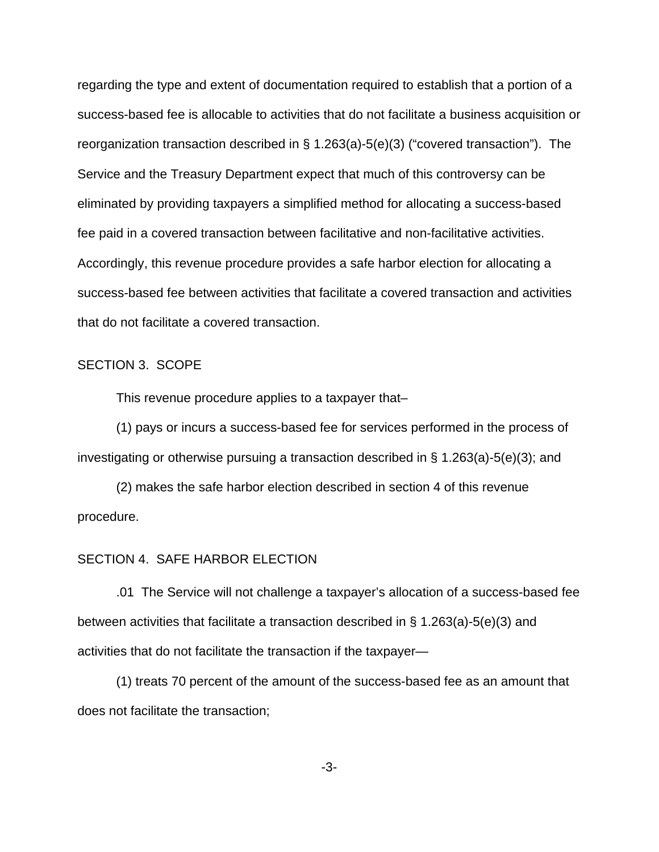regarding the type and extent of documentation required to establish that a portion of a success-based fee is allocable to activities that do not facilitate a business acquisition or reorganization transaction described in § 1.263(a)-5(e)(3) ("covered transaction"). The Service and the Treasury Department expect that much of this controversy can be eliminated by providing taxpayers a simplified method for allocating a success-based fee paid in a covered transaction between facilitative and non-facilitative activities. Accordingly, this revenue procedure provides a safe harbor election for allocating a success-based fee between activities that facilitate a covered transaction and activities that do not facilitate a covered transaction.

#### SECTION 3. SCOPE

This revenue procedure applies to a taxpayer that–

(1) pays or incurs a success-based fee for services performed in the process of investigating or otherwise pursuing a transaction described in § 1.263(a)-5(e)(3); and

(2) makes the safe harbor election described in section 4 of this revenue procedure.

### SECTION 4. SAFE HARBOR ELECTION

.01 The Service will not challenge a taxpayer's allocation of a success-based fee between activities that facilitate a transaction described in § 1.263(a)-5(e)(3) and activities that do not facilitate the transaction if the taxpayer—

(1) treats 70 percent of the amount of the success-based fee as an amount that does not facilitate the transaction;

-3-